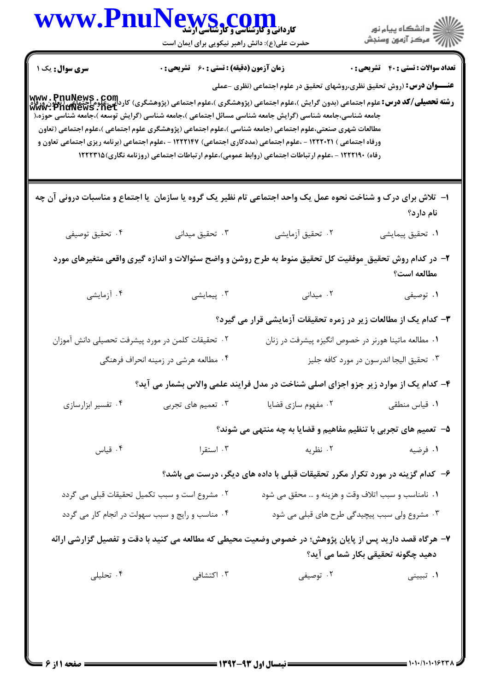|                                                                                                                | WWW.PnuNews.com                                  |                                                                                                                                                                                                                                                                                              | ر<br>دانشڪاه پيام نور)<br>ا∛ مرڪز آزمون وسنڊش        |
|----------------------------------------------------------------------------------------------------------------|--------------------------------------------------|----------------------------------------------------------------------------------------------------------------------------------------------------------------------------------------------------------------------------------------------------------------------------------------------|------------------------------------------------------|
|                                                                                                                | حضرت علی(ع): دانش راهبر نیکویی برای ایمان است    |                                                                                                                                                                                                                                                                                              |                                                      |
| <b>سری سوال :</b> یک ۱                                                                                         | زمان آزمون (دقیقه) : تستی : 60 ٪ تشریحی : 0      |                                                                                                                                                                                                                                                                                              | <b>تعداد سوالات : تستی : 40 ٪ تشریحی : 0</b>         |
|                                                                                                                |                                                  | <b>عنـــوان درس:</b> (روش تحقیق نظری،روشهای تحقیق در علوم اجتماعی (نظری -عملی                                                                                                                                                                                                                |                                                      |
|                                                                                                                |                                                  | <b>www . PnuNews . Com</b><br>و <b>شته تحصیلی/کد درس:</b> علوم اجتماعی (بدون گرایش )،علوم اجتماعی (پژوهشگری )،علوم اجتماعی (پژوهشگری) کاردانی،علوم[حتماعی<br>www . PnuNews . net<br>جامعه شناسی،جامعه شناسی (گرایش جامعه شناسی مسائل اجتماعی )،جامعه شناسی (گرایش توسعه )،جامعه شناسی حوزه،( |                                                      |
|                                                                                                                |                                                  | مطالعات شهری صنعتی،علوم اجتماعی (جامعه شناسی )،علوم اجتماعی (پژوهشگری علوم اجتماعی )،علوم اجتماعی (تعاون                                                                                                                                                                                     |                                                      |
|                                                                                                                |                                                  | ورفاه اجتماعی ) ۱۲۲۲۰۲۱ - ،علوم اجتماعی (مددکاری اجتماعی) ۱۲۲۲۱۴۷ - ،علوم اجتماعی (برنامه ریزی اجتماعی تعاون و<br>رفاه) ۱۲۲۲۱۹۰ - ،علوم ارتباطات اجتماعی (روابط عمومی)،علوم ارتباطات اجتماعی (روزنامه نگاری) ۱۲۲۲۳۱۵                                                                         |                                                      |
|                                                                                                                |                                                  |                                                                                                                                                                                                                                                                                              |                                                      |
| ۱– تلاش برای درک و شناخت نحوه عمل یک واحد اجتماعی تام نظیر یک گروه یا سازمان ً یا اجتماع و مناسبات درونی آن چه |                                                  |                                                                                                                                                                                                                                                                                              |                                                      |
|                                                                                                                |                                                  |                                                                                                                                                                                                                                                                                              | نام دارد؟                                            |
| ۰۴ تحقیق توصیفی                                                                                                | ۰۳ تحقیق میدانی                                  | ۰۲ تحقیق آزمایشی                                                                                                                                                                                                                                                                             | ۰۱ تحقیق پیمایشی                                     |
|                                                                                                                |                                                  | ۲– در کدام روش تحقیق موفقیت کل تحقیق منوط به طرح روشن و واضح سئوالات و اندازه گیری واقعی متغیرهای مورد                                                                                                                                                                                       |                                                      |
|                                                                                                                |                                                  |                                                                                                                                                                                                                                                                                              | مطالعه است؟                                          |
| ۰۴ آزمایشی                                                                                                     | ۰۳ پیمایشی                                       | ۰۲ میدانی                                                                                                                                                                                                                                                                                    | ۰۱ توصیفی                                            |
|                                                                                                                |                                                  | ۳- کدام یک از مطالعات زیر در زمره تحقیقات آزمایشی قرار می گیرد؟                                                                                                                                                                                                                              |                                                      |
| ۰۲ تحقیقات کلمن در مورد پیشرفت تحصیلی دانش آموزان                                                              |                                                  |                                                                                                                                                                                                                                                                                              | ۰۱ مطالعه ماتینا هورنر در خصوص انگیزه پیشرفت در زنان |
|                                                                                                                | ۰۴ مطالعه هرشي در زمينه انحراف فرهنگي            |                                                                                                                                                                                                                                                                                              | ۰۳ تحقيق اليجا اندرسون در مورد كافه جليز             |
|                                                                                                                |                                                  | ۴- کدام یک از موارد زیر جزو اجزای اصلی شناخت در مدل فرایند علمی والاس بشمار می آید؟                                                                                                                                                                                                          |                                                      |
| ۰۴ تفسیر ابزارسازی                                                                                             | ۰۳ تعمیم های تجربی                               | ۰۲ مفهوم سازی قضایا                                                                                                                                                                                                                                                                          | ۰۱ قیاس منطقی                                        |
|                                                                                                                |                                                  | ۵- تعمیم های تجربی با تنظیم مفاهیم و قضایا به چه منتهی می شوند؟                                                                                                                                                                                                                              |                                                      |
| ۰۴ قیاس                                                                                                        | ۰۳ استقرا                                        | ۰۲ نظریه                                                                                                                                                                                                                                                                                     | ۰۱ فرضیه                                             |
|                                                                                                                |                                                  | ۶– کدام گزینه در مورد تکرار مکرر تحقیقات قبلی با داده های دیگر، درست می باشد؟                                                                                                                                                                                                                |                                                      |
|                                                                                                                | ۰۲ مشروع است و سبب تکمیل تحقیقات قبلی می گردد    | ۰۱ نامناسب و سبب اتلاف وقت و هزینه و … محقق می شود                                                                                                                                                                                                                                           |                                                      |
|                                                                                                                | ۰۴ مناسب و رایج و سبب سهولت در انجام کار می گردد |                                                                                                                                                                                                                                                                                              | ۰۳ مشروع ولی سبب پیچیدگی طرح های قبلی می شود         |
|                                                                                                                |                                                  | ۷– هرگاه قصد دارید پس از پایان پژوهش؛ در خصوص وضعیت محیطی که مطالعه می کنید با دقت و تفصیل گزارشی ارائه                                                                                                                                                                                      |                                                      |
|                                                                                                                |                                                  |                                                                                                                                                                                                                                                                                              | دهید چگونه تحقیقی بکار شما می آید؟                   |
| ۰۴ تحلیلی                                                                                                      | ۰۳ اکتشافی                                       | ۰۲ توصیفی                                                                                                                                                                                                                                                                                    | ۰۱ تبیینی                                            |
|                                                                                                                |                                                  |                                                                                                                                                                                                                                                                                              |                                                      |
|                                                                                                                |                                                  |                                                                                                                                                                                                                                                                                              |                                                      |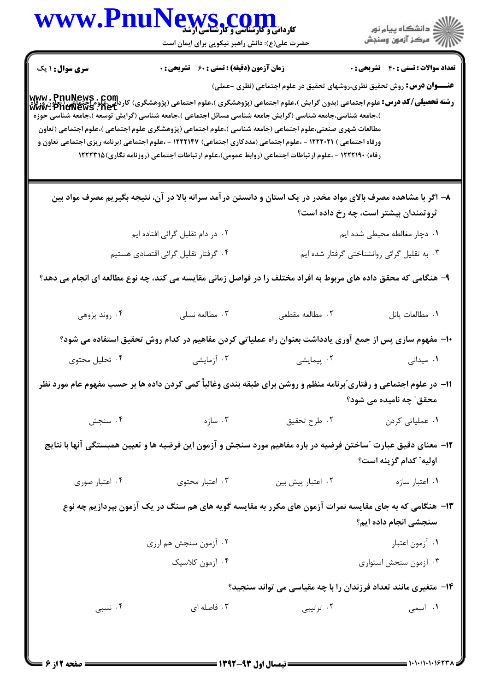|                        | <b>WWW.Pn</b><br>کاردانی و کارسناسی و کارشناسی ارشد<br>حضرت علی(ع): دانش راهبر نیکویی برای ایمان است                                                                                                                                                                                                                             |                                                                               | ڪ دانشڪاه پيام نور<br>۾ سرڪز آزمون وسنڊش    |
|------------------------|----------------------------------------------------------------------------------------------------------------------------------------------------------------------------------------------------------------------------------------------------------------------------------------------------------------------------------|-------------------------------------------------------------------------------|---------------------------------------------|
| <b>سری سوال : ۱ یک</b> | زمان آزمون (دقیقه) : تستی : 60 ٪ تشریحی : 0                                                                                                                                                                                                                                                                                      |                                                                               | <b>تعداد سوالات : تستي : 40 قشريحي : 0</b>  |
|                        | <b>www . PnuNews . Com</b><br>و <b>شته تحصیلی/کد درس:</b> علوم اجتماعی (بدون گرایش )،علوم اجتماعی (پژوهشگری )،علوم اجتماعی (پژوهشگری) کاردانی،علوم[حتماعی<br>www . PnuNews . net<br>)،جامعه شناسی،جامعه شناسی (گرایش جامعه شناسی مسائل اجتماعی )،جامعه شناسی (گرایش توسعه )،جامعه شناسی حوزه                                     | <b>عنـــوان درس:</b> روش تحقیق نظری،روشهای تحقیق در علوم اجتماعی (نظری -عملی) |                                             |
|                        | مطالعات شهری صنعتی،علوم اجتماعی (جامعه شناسی )،علوم اجتماعی (پژوهشگری علوم اجتماعی )،علوم اجتماعی (تعاون<br>ورفاه اجتماعی ) ۱۲۲۲۰۲۱ - ،علوم اجتماعی (مددکاری اجتماعی) ۱۲۲۲۱۴۷ - ،علوم اجتماعی (برنامه ریزی اجتماعی تعاون و<br>رفاه) ۱۲۲۲۱۹۰ - ،علوم ارتباطات اجتماعی (روابط عمومی)،علوم ارتباطات اجتماعی (روزنامه نگاری) ۱۲۲۲۳۱۵ |                                                                               |                                             |
|                        | ۸– اگر با مشاهده مصرف بالای مواد مخدر در یک استان و دانستن در آمد سرانه بالا در آن، نتیجه بگیریم مصرف مواد بین                                                                                                                                                                                                                   |                                                                               | ثروتمندان بیشتر است، چه رخ داده است؟        |
|                        | ۲. در دام تقلیل گرائی افتاده ایم                                                                                                                                                                                                                                                                                                 |                                                                               | ٠١ دچار مغالطه محيطى شده ايم                |
|                        | ۰۴ گرفتار تقلیل گرائی اقتصادی هستیم                                                                                                                                                                                                                                                                                              |                                                                               | ۰۳ به تقلیل گرائی روانشناختی گرفتار شده ایم |
|                        | ۹- هنگامی که محقق داده های مربوط به افراد مختلف را در فواصل زمانی مقایسه می کند، چه نوع مطالعه ای انجام می دهد؟                                                                                                                                                                                                                  |                                                                               |                                             |
| ۰۴ روند پژوهي          | ۰۳ مطالعه نسلی                                                                                                                                                                                                                                                                                                                   | ٢. مطالعه مقطعى                                                               | ٠١ مطالعات پانل                             |
|                        | +۱- مفهوم سازی پس از جمع آوری یادداشت بعنوان راه عملیاتی کردن مفاهیم در کدام روش تحقیق استفاده می شود؟                                                                                                                                                                                                                           |                                                                               |                                             |
| ۰۴ تحلیل محتوی         | ۰۳ آزمایشی                                                                                                                                                                                                                                                                                                                       | ۰۲ پیمایشی                                                                    | ۰۱ میدانی                                   |
|                        | 11- در علوم اجتماعی و رفتاری ؒبرنامه منظم و روشن برای طبقه بندی وغالباً کمی کردن داده ها بر حسب مفهوم عام مورد نظر                                                                                                                                                                                                               |                                                                               | محقق″ چه نامیده می شود؟                     |
| ۰۴ سنجش                | ۰۳ سازه                                                                                                                                                                                                                                                                                                                          | ۰۲ طرح تحقیق                                                                  | ۰۱ عملیات <sub>ی</sub> کردن                 |
|                        | ۱۲– معنای دقیق عبارت ″ساختن فرضیه در باره مفاهیم مورد سنجش و آزمون این فرضیه ها و تعیین همبستگی آنها با نتایج                                                                                                                                                                                                                    |                                                                               | اوليه" كدام گزينه است؟                      |
| ۰۴ اعتبار صوری         | ۰۳ اعتبار محتوى                                                                                                                                                                                                                                                                                                                  | ۰۲ اعتبار پیش بین                                                             | ۰۱ اعتبار سازه                              |
|                        | ۱۳- هنگامی که به جای مقایسه نمرات آزمون های مکرر به مقایسه گویه های هم سنگ در یک آزمون بپردازیم چه نوع                                                                                                                                                                                                                           |                                                                               | سنجشى انجام داده ايم؟                       |
|                        | ۰۲ آزمون سنجش هم ارزی                                                                                                                                                                                                                                                                                                            |                                                                               | ٠١ آزمون اعتبار                             |
|                        | ۰۴ آزمون کلاسیک                                                                                                                                                                                                                                                                                                                  |                                                                               | ۰۳ آزمون سنجش استواری                       |
|                        |                                                                                                                                                                                                                                                                                                                                  | ۱۴- متغیری مانند تعداد فرزندان را با چه مقیاسی می تواند سنجید؟                |                                             |
|                        |                                                                                                                                                                                                                                                                                                                                  | ۰۲ ترتیبی                                                                     |                                             |

**= نیمسال اول ۹۳-۱۳۹۲** <mark>-</mark>

صفحه 2 از 6 =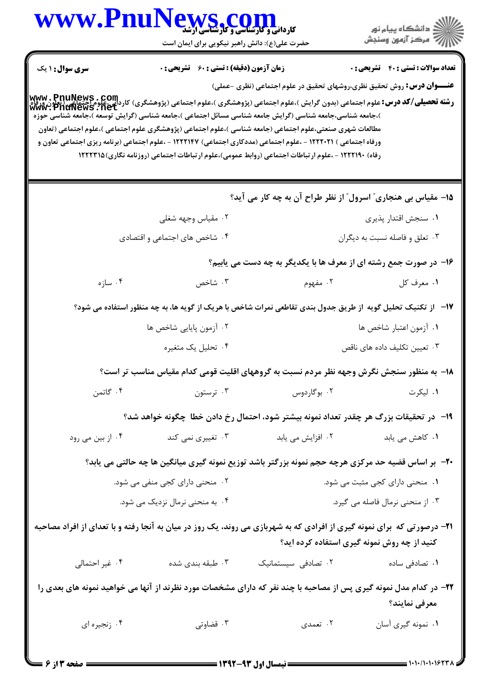|                        | WWW.PnuNews.com                                    |                                                                                                                                                                                                                                                                                                                                                                                                                                                                                                                                                                                                                              | الاد دانشگاه پيام نور<br>الاستمرکز آزمون وسنجش |
|------------------------|----------------------------------------------------|------------------------------------------------------------------------------------------------------------------------------------------------------------------------------------------------------------------------------------------------------------------------------------------------------------------------------------------------------------------------------------------------------------------------------------------------------------------------------------------------------------------------------------------------------------------------------------------------------------------------------|------------------------------------------------|
|                        | حضرت علی(ع): دانش راهبر نیکویی برای ایمان است      |                                                                                                                                                                                                                                                                                                                                                                                                                                                                                                                                                                                                                              |                                                |
| <b>سری سوال : ۱ یک</b> | <b>زمان آزمون (دقیقه) : تستی : 60 ٪ تشریحی : 0</b> |                                                                                                                                                                                                                                                                                                                                                                                                                                                                                                                                                                                                                              | <b>تعداد سوالات : تستي : 40 ٪ تشريحي : 0</b>   |
|                        |                                                    | <b>عنـــوان درس:</b> روش تحقیق نظری،روشهای تحقیق در علوم اجتماعی (نظری -عملی)                                                                                                                                                                                                                                                                                                                                                                                                                                                                                                                                                |                                                |
|                        |                                                    | www . PnuNews . Com<br> و <b>شته تحصیلی/کد درس:</b> علوم اجتماعی (بدون گرایش )،علوم اجتماعی (پژوهشگری )،علوم اجتماعی (پژوهشگری) کاردانی،علوم اجتماعی<br> www . PnuNews . net<br>)،جامعه شناسی،جامعه شناسی (گرایش جامعه شناسی مسائل اجتماعی )،جامعه شناسی (گرایش توسعه )،جامعه شناسی حوزه<br>مطالعات شهری صنعتی،علوم اجتماعی (جامعه شناسی )،علوم اجتماعی (پژوهشگری علوم اجتماعی )،علوم اجتماعی (تعاون<br>ورفاه اجتماعی ) ۱۲۲۲۰۲۱ - ،علوم اجتماعی (مددکاری اجتماعی) ۱۲۲۲۱۴۷ - ،علوم اجتماعی (برنامه ریزی اجتماعی تعاون و<br>رفاه) ۱۲۲۲۱۹۰ - ،علوم ارتباطات اجتماعی (روابط عمومی)،علوم ارتباطات اجتماعی (روزنامه نگاری) ۱۲۲۲۳۱۵ |                                                |
|                        |                                                    | 1۵- مقیاس بی هنجاری ؒ اسرول ؒ از نظر طراح آن به چه کار می آید؟                                                                                                                                                                                                                                                                                                                                                                                                                                                                                                                                                               |                                                |
|                        | ۰۲ مقیاس وجهه شغلی                                 |                                                                                                                                                                                                                                                                                                                                                                                                                                                                                                                                                                                                                              | ٠١ سنجش اقتدار پذيرى                           |
|                        | ۰۴ شاخص های اجتماعی و اقتصادی                      |                                                                                                                                                                                                                                                                                                                                                                                                                                                                                                                                                                                                                              | ۰۳ تعلق و فاصله نسبت به دیگران                 |
|                        |                                                    | ۱۶- در صورت جمع رشته ای از معرف ها با یکدیگر به چه دست می یابیم؟                                                                                                                                                                                                                                                                                                                                                                                                                                                                                                                                                             |                                                |
| ۰۴ سازه                | ۰۳ شاخص                                            | ۰۲ مفهوم                                                                                                                                                                                                                                                                                                                                                                                                                                                                                                                                                                                                                     | ۰۱ معرف کل                                     |
|                        |                                                    | ۱۷−۔ از تکنیک تحلیل گویه از طریق جدول بندی تقاطعی نمرات شاخص با هریک از گویه ها، به چه منظور استفاده می شود؟                                                                                                                                                                                                                                                                                                                                                                                                                                                                                                                 |                                                |
|                        | ۰۲ آزمون پایایی شاخص ها                            |                                                                                                                                                                                                                                                                                                                                                                                                                                                                                                                                                                                                                              | ٠١ آزمون اعتبار شاخص ها                        |
|                        | ۰۴ تحلیل یک متغیره                                 |                                                                                                                                                                                                                                                                                                                                                                                                                                                                                                                                                                                                                              | ۰۳ تعیین تکلیف داده های ناقص                   |
|                        |                                                    | ۱۸– به منظور سنجش نگرش وجهه نظر مردم نسبت به گروههای اقلیت قومی کدام مقیاس مناسب تر است؟                                                                                                                                                                                                                                                                                                                                                                                                                                                                                                                                     |                                                |
|                        |                                                    | ۱. لیکرت میستون از منابع از منابع است. می تورن منابع از این منابع از منابع از منابع از منابع از منابع از منابع<br>منابع از منابع از منابع از منابع از منابع از منابع از منابع از منابع از منابع از منابع از منابع از منابع از من                                                                                                                                                                                                                                                                                                                                                                                             |                                                |
|                        |                                                    | ۱۹– در تحقیقات بزرگ هر چقدر تعداد نمونه بیشتر شود، احتمال رخ دادن خطا چگونه خواهد شد؟                                                                                                                                                                                                                                                                                                                                                                                                                                                                                                                                        |                                                |
| ۰۴ از بین می رود       | ۰۳ تغییری نمی کند                                  | ۰۲ افزایش می یابد                                                                                                                                                                                                                                                                                                                                                                                                                                                                                                                                                                                                            | ۰۱ کاهش می یابد                                |
|                        |                                                    | +۲- بر اساس قضیه حد مرکزی هرچه حجم نمونه بزرگتر باشد توزیع نمونه گیری میانگین ها چه حالتی می یابد؟                                                                                                                                                                                                                                                                                                                                                                                                                                                                                                                           |                                                |
|                        | ۰۲ منحنی دارای کجی منفی می شود.                    |                                                                                                                                                                                                                                                                                                                                                                                                                                                                                                                                                                                                                              | ۰۱ منحنی دارای کجی مثبت می شود.                |
|                        | ۰۴ به منحنی نرمال نزدیک می شود.                    |                                                                                                                                                                                                                                                                                                                                                                                                                                                                                                                                                                                                                              | ۰۳ از منحنی نرمال فاصله می گیرد.               |
|                        |                                                    | <b>۲۱</b> - درصورتی که برای نمونه گیری از افرادی که به شهربازی می روند، یک روز در میان به آنجا رفته و با تعدای از افراد مصاحبه                                                                                                                                                                                                                                                                                                                                                                                                                                                                                               | کنید از چه روش نمونه گیری استفاده کرده اید؟    |
| ۰۴ غیر احتمالی         | ۰۳ طبقه بندی شده                                   | ۰۲ تصادفی سیستمانیک                                                                                                                                                                                                                                                                                                                                                                                                                                                                                                                                                                                                          | ۰۱ تصادفی ساده                                 |
|                        |                                                    | ۲۲– در کدام مدل نمونه گیری پس از مصاحبه با چند نفر که دارای مشخصات مورد نظرند از آنها می خواهید نمونه های بعدی را                                                                                                                                                                                                                                                                                                                                                                                                                                                                                                            | معرفي نمايند؟                                  |
| ۰۴ زنجيره اي           | ۰۳ قضاوتی                                          | ۰۲ تعمدی                                                                                                                                                                                                                                                                                                                                                                                                                                                                                                                                                                                                                     | ۰۱ نمونه گیری آسان                             |
|                        |                                                    |                                                                                                                                                                                                                                                                                                                                                                                                                                                                                                                                                                                                                              |                                                |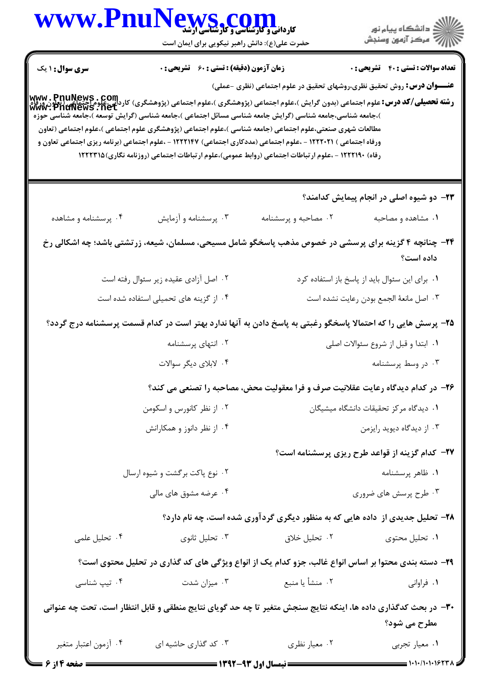|                        | WWW.PnuNews.com<br>حضرت علی(ع): دانش راهبر نیکویی برای ایمان است |                                                                                                                                                                                                                                                                                                                                                                                                                                              |                                                        |
|------------------------|------------------------------------------------------------------|----------------------------------------------------------------------------------------------------------------------------------------------------------------------------------------------------------------------------------------------------------------------------------------------------------------------------------------------------------------------------------------------------------------------------------------------|--------------------------------------------------------|
| <b>سری سوال : ۱ یک</b> | <b>زمان آزمون (دقیقه) : تستی : 60 ٪ تشریحی : 0</b>               |                                                                                                                                                                                                                                                                                                                                                                                                                                              | <b>تعداد سوالات : تستی : 40 ٪ تشریحی : 0</b>           |
|                        |                                                                  | <b>عنـــوان درس:</b> روش تحقیق نظری،روشهای تحقیق در علوم اجتماعی (نظری -عملی)<br>  www . PnuNews . Com<br>  و <b>شته تحصیلی/کد درس:</b> علوم اجتماعی (بدون گرایش )،علوم اجتماعی (پژوهشگری )،علوم اجتماعی (پژوهشگری) کاردانی،علوم اجتماعی<br>  www . PnuNews . net                                                                                                                                                                            |                                                        |
|                        |                                                                  | )،جامعه شناسی،جامعه شناسی (گرایش جامعه شناسی مسائل اجتماعی )،جامعه شناسی (گرایش توسعه )،جامعه شناسی حوزه<br>مطالعات شهری صنعتی،علوم اجتماعی (جامعه شناسی )،علوم اجتماعی (پژوهشگری علوم اجتماعی )،علوم اجتماعی (تعاون<br>ورفاه اجتماعی ) ۱۲۲۲۰۲۱ - ،علوم اجتماعی (مددکاری اجتماعی) ۱۲۲۲۱۴۷ - ،علوم اجتماعی (برنامه ریزی اجتماعی تعاون و<br>رفاه) ۱۲۲۲۱۹۰ - ،علوم ارتباطات اجتماعی (روابط عمومی)،علوم ارتباطات اجتماعی (روزنامه نگاری) ۱۲۲۲۳۱۵ |                                                        |
|                        |                                                                  |                                                                                                                                                                                                                                                                                                                                                                                                                                              | ۲۳– دو شیوه اصلی در انجام پیمایش کدامند؟               |
| ۰۴ پرسشنامه و مشاهده   | ۰۳ پرسشنامه و آزمایش                                             | ۰۲ مصاحبه و پرسشنامه                                                                                                                                                                                                                                                                                                                                                                                                                         | ۰۱ مشاهده و مصاحبه                                     |
|                        |                                                                  | ۲۴– چنانچه ۴ گزینه برای پرسشی در خصوص مذهب پاسخگو شامل مسیحی، مسلمان، شیعه، زرتشتی باشد؛ چه اشکالی رخ                                                                                                                                                                                                                                                                                                                                        | داده است؟                                              |
|                        | ۰۲ اصل آزادی عقیده زیر سئوال رفته است                            | ٠١ براي اين سئوال بايد از پاسخ باز استفاده كرد                                                                                                                                                                                                                                                                                                                                                                                               |                                                        |
|                        | ۰۴ از گزینه های تحمیلی استفاده شده است                           |                                                                                                                                                                                                                                                                                                                                                                                                                                              | ٠٣ اصل مانعهٔ الجمع بودن رعايت نشده است                |
|                        |                                                                  | ۲۵– پرسش هایی را که احتمالا پاسخگو رغبتی به پاسخ دادن به آنها ندارد بهتر است در کدام قسمت پرسشنامه درج گردد؟                                                                                                                                                                                                                                                                                                                                 |                                                        |
|                        | ۰۲ انتهای پرسشنامه                                               |                                                                                                                                                                                                                                                                                                                                                                                                                                              | ۰۱ ابتدا و قبل از شروع سئوالات اصلی                    |
|                        | ۰۴ لابلای دیگر سوالات                                            |                                                                                                                                                                                                                                                                                                                                                                                                                                              | ۰۳ در وسط پرسشنامه                                     |
|                        |                                                                  | ۲۶– در کدام دیدگاه رعایت عقلانیت صرف و فرا معقولیت محض، مصاحبه را تصنعی می کند؟                                                                                                                                                                                                                                                                                                                                                              |                                                        |
|                        | ۰۲ از نظر کانورس و اسکومن                                        |                                                                                                                                                                                                                                                                                                                                                                                                                                              | ٠١ ديدگاه مركز تحقيقات دانشگاه ميشيگان                 |
|                        | ۰۴ از نظر دانوز و همکارانش                                       |                                                                                                                                                                                                                                                                                                                                                                                                                                              | ۰۳ از دیدگاه دیوید رایزمن                              |
|                        |                                                                  |                                                                                                                                                                                                                                                                                                                                                                                                                                              | <b>۲۷</b> - کدام گزینه از قواعد طرح ریزی پرسشنامه است؟ |
|                        | ۲. نوع پاکت برگشت و شیوه ارسال                                   | ٠١ ظاهر پرسشنامه                                                                                                                                                                                                                                                                                                                                                                                                                             |                                                        |
|                        | ۰۴ عرضه مشوق های مالی                                            | ۰۳ طرح پرسش های ضروری                                                                                                                                                                                                                                                                                                                                                                                                                        |                                                        |
|                        |                                                                  | ۲۸- تحلیل جدیدی از داده هایی که به منظور دیگری گردآوری شده است، چه نام دارد؟                                                                                                                                                                                                                                                                                                                                                                 |                                                        |
| ۰۴ تحلیل علمی          | ۰۳ تحلیل ثانوی                                                   | ۰۲ تحلیل خلاق                                                                                                                                                                                                                                                                                                                                                                                                                                | ۰۱ تحلیل محتوی                                         |
|                        |                                                                  | ۲۹- دسته بندی محتوا بر اساس انواع غالب، جزو کدام یک از انواع ویژگی های کد گذاری در تحلیل محتوی است؟                                                                                                                                                                                                                                                                                                                                          |                                                        |
| ۰۴ تیپ شناسی           | ۰۳ میزان شدت                                                     | ۰۲ منشأ یا منبع                                                                                                                                                                                                                                                                                                                                                                                                                              | ۰۱ فراوانی                                             |
|                        |                                                                  | ۳۰- در بحث کدگذاری داده ها، اینکه نتایج سنجش متغیر تا چه حد گویای نتایج منطقی و قابل انتظار است، تحت چه عنوانی                                                                                                                                                                                                                                                                                                                               |                                                        |
|                        |                                                                  |                                                                                                                                                                                                                                                                                                                                                                                                                                              | مطرح می شود؟                                           |
|                        |                                                                  |                                                                                                                                                                                                                                                                                                                                                                                                                                              |                                                        |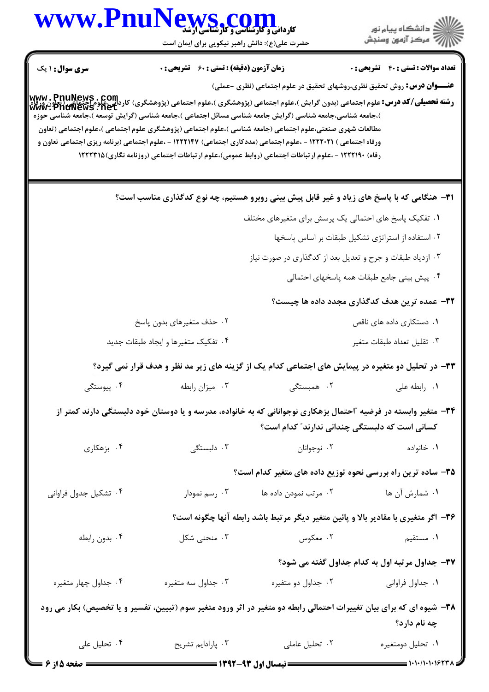|                         | WWW.PnuNews.com<br>حضرت علی(ع): دانش راهبر نیکویی برای ایمان است                                                                                                                                                                                                                                                                                                                                                                                                                                                                                                                                                             |                                                           | الاد دانشگاه پيام نور<br>الا مرکز آزمون وسنجش                                                                                                                   |
|-------------------------|------------------------------------------------------------------------------------------------------------------------------------------------------------------------------------------------------------------------------------------------------------------------------------------------------------------------------------------------------------------------------------------------------------------------------------------------------------------------------------------------------------------------------------------------------------------------------------------------------------------------------|-----------------------------------------------------------|-----------------------------------------------------------------------------------------------------------------------------------------------------------------|
| <b>سری سوال : ۱ یک</b>  | <b>زمان آزمون (دقیقه) : تستی : 60 ٪ تشریحی : 0</b>                                                                                                                                                                                                                                                                                                                                                                                                                                                                                                                                                                           |                                                           | <b>تعداد سوالات : تستی : 40 ٪ تشریحی : 0</b>                                                                                                                    |
|                         | www . PnuNews . Com<br>و <b>شته تحصیلی/کد درس:</b> علوم اجتماعی (بدون گرایش )،علوم اجتماعی (پژوهشگری )،علوم اجتماعی (پژوهشگری) کاردانی،علوم اختماعی<br>  www . PnuNews . net<br>)،جامعه شناسی،جامعه شناسی (گرایش جامعه شناسی مسائل اجتماعی )،جامعه شناسی (گرایش توسعه )،جامعه شناسی حوزه<br>مطالعات شهری صنعتی،علوم اجتماعی (جامعه شناسی )،علوم اجتماعی (پژوهشگری علوم اجتماعی )،علوم اجتماعی (تعاون<br>ورفاه اجتماعی ) ۱۲۲۲۰۲۱ - ،علوم اجتماعی (مددکاری اجتماعی) ۱۲۲۲۱۴۷ - ،علوم اجتماعی (برنامه ریزی اجتماعی تعاون و<br>رفاه) ۱۲۲۲۱۹۰ - ،علوم ارتباطات اجتماعی (روابط عمومی)،علوم ارتباطات اجتماعی (روزنامه نگاری) ۱۲۲۲۳۱۵ |                                                           | <b>عنـــوان درس:</b> روش تحقیق نظری،روشهای تحقیق در علوم اجتماعی (نظری -عملی)                                                                                   |
|                         | <b>۳۱</b> - هنگامی که با پاسخ های زیاد و غیر قابل پیش بینی روبرو هستیم، چه نوع کدگذاری مناسب است؟                                                                                                                                                                                                                                                                                                                                                                                                                                                                                                                            |                                                           |                                                                                                                                                                 |
|                         |                                                                                                                                                                                                                                                                                                                                                                                                                                                                                                                                                                                                                              | ۰۱ تفکیک پاسخ های احتمالی یک پرسش برای متغیرهای مختلف     |                                                                                                                                                                 |
|                         |                                                                                                                                                                                                                                                                                                                                                                                                                                                                                                                                                                                                                              |                                                           | ۰۲ استفاده از استراتژی تشکیل طبقات بر اساس پاسخها                                                                                                               |
|                         |                                                                                                                                                                                                                                                                                                                                                                                                                                                                                                                                                                                                                              | ۰۳ ازدیاد طبقات و جرح و تعدیل بعد از کدگذاری در صورت نیاز |                                                                                                                                                                 |
|                         |                                                                                                                                                                                                                                                                                                                                                                                                                                                                                                                                                                                                                              |                                                           | ۰۴ پیش بینی جامع طبقات همه پاسخهای احتمالی                                                                                                                      |
|                         |                                                                                                                                                                                                                                                                                                                                                                                                                                                                                                                                                                                                                              |                                                           | ۳۲– عمده ترین هدف کدگذاری مجدد داده ها چیست؟                                                                                                                    |
|                         | ۰۲ حذف متغیرهای بدون پاسخ                                                                                                                                                                                                                                                                                                                                                                                                                                                                                                                                                                                                    |                                                           | ۰۱ دستکاری داده های ناقص                                                                                                                                        |
|                         | ۰۴ تفکیک متغیرها و ایجاد طبقات جدید                                                                                                                                                                                                                                                                                                                                                                                                                                                                                                                                                                                          |                                                           | ۰۳ تقليل تعداد طبقات متغير                                                                                                                                      |
|                         |                                                                                                                                                                                                                                                                                                                                                                                                                                                                                                                                                                                                                              |                                                           | ۳۳- در تحلیل دو متغیره در پیمایش های اجتماعی کدام یک از گزینه های زیر مد نظر و هدف قرار نمی گیرد؟                                                               |
| ۰۴ پیوستگی              | ۰۳ میزان رابطه                                                                                                                                                                                                                                                                                                                                                                                                                                                                                                                                                                                                               | ۰۲ همبستگی                                                | ٠١. رابطه على                                                                                                                                                   |
|                         |                                                                                                                                                                                                                                                                                                                                                                                                                                                                                                                                                                                                                              |                                                           | ۳۴– متغیر وابسته در فرضیه ″احتمال بزهکاری نوجوانانی که به خانواده، مدرسه و یا دوستان خود دلبستگی دارند کمتر از<br>کسانی است که دلبستگی چندانی ندارند″ کدام است؟ |
| ۰۴ بزهکاری              | ۰۳ دلبستگی                                                                                                                                                                                                                                                                                                                                                                                                                                                                                                                                                                                                                   | ۰۲ نوجوانان                                               | ۰۱ خانواده                                                                                                                                                      |
|                         |                                                                                                                                                                                                                                                                                                                                                                                                                                                                                                                                                                                                                              |                                                           | ۳۵- ساده ترین راه بررسی نحوه توزیع داده های متغیر کدام است؟                                                                                                     |
| ۰۴ تشکیل جدول فراوانی   | ۰۳ رسم نمودار                                                                                                                                                                                                                                                                                                                                                                                                                                                                                                                                                                                                                | ۰۲ مرتب نمودن داده ها                                     | <b>۱</b> . شمارش آن ها                                                                                                                                          |
|                         |                                                                                                                                                                                                                                                                                                                                                                                                                                                                                                                                                                                                                              |                                                           | ۳۶- اگر متغیری با مقادیر بالا و پائین متغیر دیگر مرتبط باشد رابطه آنها چگونه است؟                                                                               |
| ۰۴ بدون رابطه           | ۰۳ منحنی شکل                                                                                                                                                                                                                                                                                                                                                                                                                                                                                                                                                                                                                 | ۰۲ معکوس                                                  | <b>۱</b> . مستقیم                                                                                                                                               |
|                         |                                                                                                                                                                                                                                                                                                                                                                                                                                                                                                                                                                                                                              |                                                           | ۳۷- جداول مرتبه اول به کدام جداول گفته می شود؟                                                                                                                  |
| ۰۴ جداول چهار متغیره    | ۰۳ جداول سه متغیره                                                                                                                                                                                                                                                                                                                                                                                                                                                                                                                                                                                                           | ۰۲ جداول دو متفيره                                        | ۰۱ جداول فراواني                                                                                                                                                |
|                         |                                                                                                                                                                                                                                                                                                                                                                                                                                                                                                                                                                                                                              |                                                           | ۳۸– شیوه ای که برای بیان تغییرات احتمالی رابطه دو متغیر در آثر ورود متغیر سوم (تبیین، تفسیر و یا تخصیص) بکار می رود<br>چه نام دارد؟                             |
| ۰۴ تحلیل علی            | ۰۳ پارادايم تشريح                                                                                                                                                                                                                                                                                                                                                                                                                                                                                                                                                                                                            | ۰۲ تحلیل عاملی                                            | ۰۱ تحلیل دومتغیره                                                                                                                                               |
| <b>ــــ صفحه 5 از 6</b> |                                                                                                                                                                                                                                                                                                                                                                                                                                                                                                                                                                                                                              | ــــــــــــــــــ نیمسال اول ۹۳-۱۳۹۲ ـــــــــــــ       |                                                                                                                                                                 |